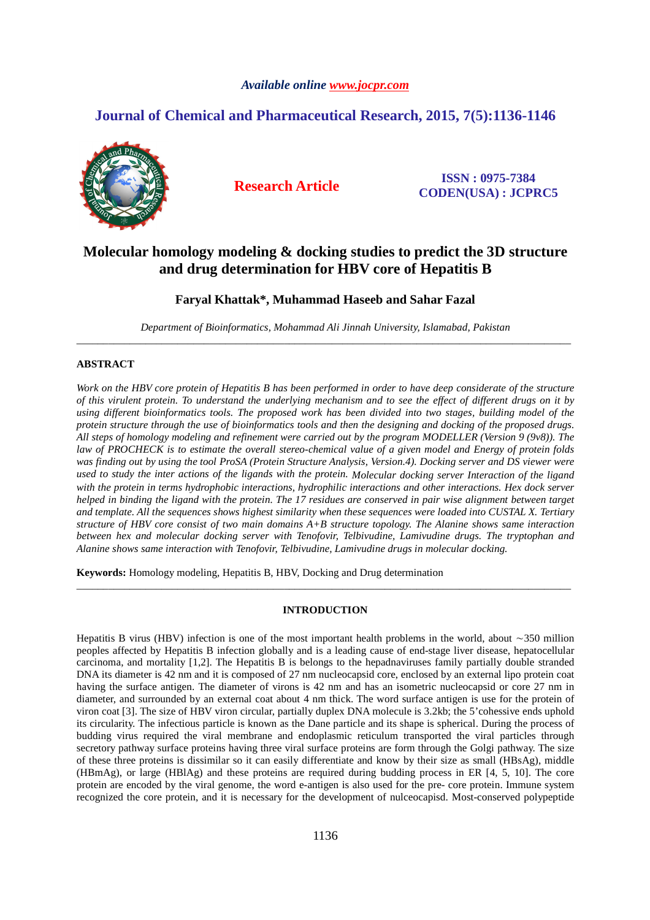# *Available online www.jocpr.com*

# **Journal of Chemical and Pharmaceutical Research, 2015, 7(5):1136-1146**



**Research Article ISSN : 0975-7384 CODEN(USA) : JCPRC5**

# **Molecular homology modeling & docking studies to predict the 3D structure and drug determination for HBV core of Hepatitis B**

# **Faryal Khattak\*, Muhammad Haseeb and Sahar Fazal**

*Department of Bioinformatics, Mohammad Ali Jinnah University, Islamabad, Pakistan*  \_\_\_\_\_\_\_\_\_\_\_\_\_\_\_\_\_\_\_\_\_\_\_\_\_\_\_\_\_\_\_\_\_\_\_\_\_\_\_\_\_\_\_\_\_\_\_\_\_\_\_\_\_\_\_\_\_\_\_\_\_\_\_\_\_\_\_\_\_\_\_\_\_\_\_\_\_\_\_\_\_\_\_\_\_\_\_\_\_\_\_\_\_

# **ABSTRACT**

Work on the HBV core protein of Hepatitis B has been performed in order to have deep considerate of the structure *of this virulent protein. To understand the underlying mechanism and to see the effect of different drugs on it by using different bioinformatics tools. The proposed work has been divided into two stages, building model of the protein structure through the use of bioinformatics tools and then the designing and docking of the proposed drugs. All steps of homology modeling and refinement were carried out by the program MODELLER (Version 9 (9v8)). The law of PROCHECK is to estimate the overall stereo-chemical value of a given model and Energy of protein folds was finding out by using the tool ProSA (Protein Structure Analysis, Version.4). Docking server and DS viewer were used to study the inter actions of the ligands with the protein. Molecular docking server Interaction of the ligand with the protein in terms hydrophobic interactions, hydrophilic interactions and other interactions. Hex dock server helped in binding the ligand with the protein. The 17 residues are conserved in pair wise alignment between target and template. All the sequences shows highest similarity when these sequences were loaded into CUSTAL X. Tertiary structure of HBV core consist of two main domains A+B structure topology. The Alanine shows same interaction between hex and molecular docking server with Tenofovir, Telbivudine, Lamivudine drugs. The tryptophan and Alanine shows same interaction with Tenofovir, Telbivudine, Lamivudine drugs in molecular docking.* 

**Keywords:** Homology modeling, Hepatitis B, HBV, Docking and Drug determination

## **INTRODUCTION**

\_\_\_\_\_\_\_\_\_\_\_\_\_\_\_\_\_\_\_\_\_\_\_\_\_\_\_\_\_\_\_\_\_\_\_\_\_\_\_\_\_\_\_\_\_\_\_\_\_\_\_\_\_\_\_\_\_\_\_\_\_\_\_\_\_\_\_\_\_\_\_\_\_\_\_\_\_\_\_\_\_\_\_\_\_\_\_\_\_\_\_\_\_

Hepatitis B virus (HBV) infection is one of the most important health problems in the world, about ∼350 million peoples affected by Hepatitis B infection globally and is a leading cause of end-stage liver disease, hepatocellular carcinoma, and mortality [1,2]. The Hepatitis B is belongs to the hepadnaviruses family partially double stranded DNA its diameter is 42 nm and it is composed of 27 nm nucleocapsid core, enclosed by an external lipo protein coat having the surface antigen. The diameter of virons is 42 nm and has an isometric nucleocapsid or core 27 nm in diameter, and surrounded by an external coat about 4 nm thick. The word surface antigen is use for the protein of viron coat [3]. The size of HBV viron circular, partially duplex DNA molecule is 3.2kb; the 5'cohessive ends uphold its circularity. The infectious particle is known as the Dane particle and its shape is spherical. During the process of budding virus required the viral membrane and endoplasmic reticulum transported the viral particles through secretory pathway surface proteins having three viral surface proteins are form through the Golgi pathway. The size of these three proteins is dissimilar so it can easily differentiate and know by their size as small (HBsAg), middle (HBmAg), or large (HBlAg) and these proteins are required during budding process in ER [4, 5, 10]. The core protein are encoded by the viral genome, the word e-antigen is also used for the pre- core protein. Immune system recognized the core protein, and it is necessary for the development of nulceocapisd. Most-conserved polypeptide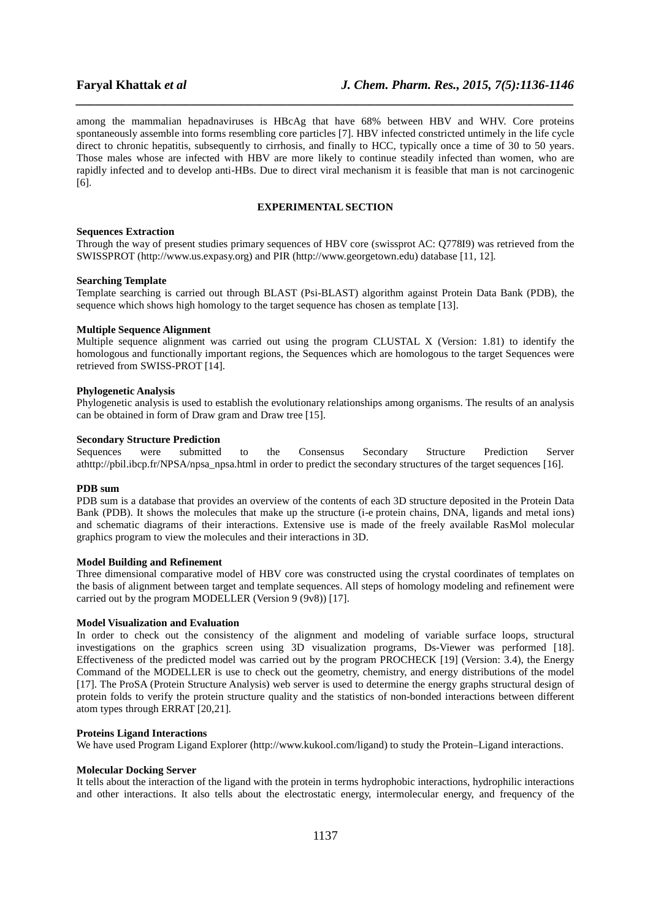among the mammalian hepadnaviruses is HBcAg that have 68% between HBV and WHV. Core proteins spontaneously assemble into forms resembling core particles [7]. HBV infected constricted untimely in the life cycle direct to chronic hepatitis, subsequently to cirrhosis, and finally to HCC, typically once a time of 30 to 50 years. Those males whose are infected with HBV are more likely to continue steadily infected than women, who are rapidly infected and to develop anti-HBs. Due to direct viral mechanism it is feasible that man is not carcinogenic [6].

*\_\_\_\_\_\_\_\_\_\_\_\_\_\_\_\_\_\_\_\_\_\_\_\_\_\_\_\_\_\_\_\_\_\_\_\_\_\_\_\_\_\_\_\_\_\_\_\_\_\_\_\_\_\_\_\_\_\_\_\_\_\_\_\_\_\_\_\_\_\_\_\_\_\_\_\_\_\_*

### **EXPERIMENTAL SECTION**

## **Sequences Extraction**

Through the way of present studies primary sequences of HBV core (swissprot AC: Q778I9) was retrieved from the SWISSPROT (http://www.us.expasy.org) and PIR (http://www.georgetown.edu) database [11, 12].

#### **Searching Template**

Template searching is carried out through BLAST (Psi-BLAST) algorithm against Protein Data Bank (PDB), the sequence which shows high homology to the target sequence has chosen as template [13].

## **Multiple Sequence Alignment**

Multiple sequence alignment was carried out using the program CLUSTAL X (Version: 1.81) to identify the homologous and functionally important regions, the Sequences which are homologous to the target Sequences were retrieved from SWISS-PROT [14].

#### **Phylogenetic Analysis**

Phylogenetic analysis is used to establish the evolutionary relationships among organisms. The results of an analysis can be obtained in form of Draw gram and Draw tree [15].

# **Secondary Structure Prediction**

Sequences were submitted to the Consensus Secondary Structure Prediction Server athttp://pbil.ibcp.fr/NPSA/npsa\_npsa.html in order to predict the secondary structures of the target sequences [16].

#### **PDB sum**

PDB sum is a database that provides an overview of the contents of each 3D structure deposited in the Protein Data Bank (PDB). It shows the molecules that make up the structure (i-e protein chains, DNA, ligands and metal ions) and schematic diagrams of their interactions. Extensive use is made of the freely available RasMol molecular graphics program to view the molecules and their interactions in 3D.

#### **Model Building and Refinement**

Three dimensional comparative model of HBV core was constructed using the crystal coordinates of templates on the basis of alignment between target and template sequences. All steps of homology modeling and refinement were carried out by the program MODELLER (Version 9 (9v8)) [17].

#### **Model Visualization and Evaluation**

In order to check out the consistency of the alignment and modeling of variable surface loops, structural investigations on the graphics screen using 3D visualization programs, Ds-Viewer was performed [18]. Effectiveness of the predicted model was carried out by the program PROCHECK [19] (Version: 3.4), the Energy Command of the MODELLER is use to check out the geometry, chemistry, and energy distributions of the model [17]. The ProSA (Protein Structure Analysis) web server is used to determine the energy graphs structural design of protein folds to verify the protein structure quality and the statistics of non-bonded interactions between different atom types through ERRAT [20,21].

#### **Proteins Ligand Interactions**

We have used Program Ligand Explorer (http://www.kukool.com/ligand) to study the Protein–Ligand interactions.

#### **Molecular Docking Server**

It tells about the interaction of the ligand with the protein in terms hydrophobic interactions, hydrophilic interactions and other interactions. It also tells about the electrostatic energy, intermolecular energy, and frequency of the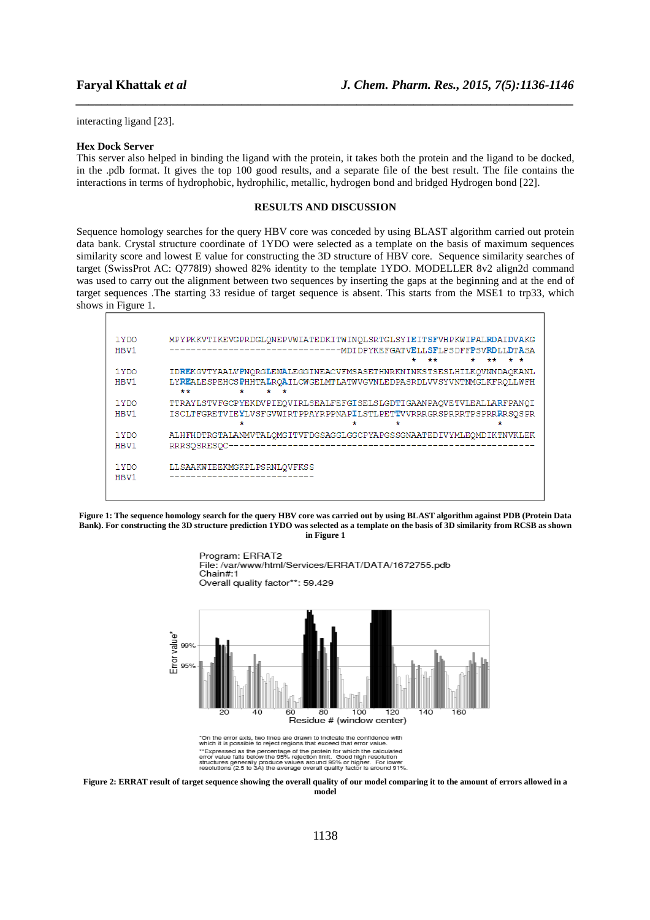interacting ligand [23].

#### **Hex Dock Server**

This server also helped in binding the ligand with the protein, it takes both the protein and the ligand to be docked, in the .pdb format. It gives the top 100 good results, and a separate file of the best result. The file contains the interactions in terms of hydrophobic, hydrophilic, metallic, hydrogen bond and bridged Hydrogen bond [22].

*\_\_\_\_\_\_\_\_\_\_\_\_\_\_\_\_\_\_\_\_\_\_\_\_\_\_\_\_\_\_\_\_\_\_\_\_\_\_\_\_\_\_\_\_\_\_\_\_\_\_\_\_\_\_\_\_\_\_\_\_\_\_\_\_\_\_\_\_\_\_\_\_\_\_\_\_\_\_*

## **RESULTS AND DISCUSSION**

Sequence homology searches for the query HBV core was conceded by using BLAST algorithm carried out protein data bank. Crystal structure coordinate of 1YDO were selected as a template on the basis of maximum sequences similarity score and lowest E value for constructing the 3D structure of HBV core. Sequence similarity searches of target (SwissProt AC: Q778I9) showed 82% identity to the template 1YDO. MODELLER 8v2 align2d command was used to carry out the alignment between two sequences by inserting the gaps at the beginning and at the end of target sequences .The starting 33 residue of target sequence is absent. This starts from the MSE1 to trp33, which shows in Figure 1.

| 1 Y DO<br>HBV1 | MPYPKKVTIKEVGPRDGLONEPVWIATEDKITWINOLSRTGLSYIEITSFVHPKWIPALRDAIDVAKG<br>**<br>÷<br>۰<br>÷<br>÷<br>**                                                             |
|----------------|------------------------------------------------------------------------------------------------------------------------------------------------------------------|
| 1 YDO<br>HBV1  | IDREKGVTYAALVPNORGLENALEGGINEACVFMSASETHNRKNINKSTSESLHILKOVNNDAOKANL<br>LYREALESPEHCSPHHTALROAILCWGELMTLATWVGVNLEDPASRDLVVSYVNTNMGLKFROLLWFH<br>**<br>÷<br>÷     |
| 1 YDO<br>HBV1  | TTRAYLSTVFGCPYEKDVPIEQVIRLSEALFEFGISELSLGDTIGAANPAQVETVLEALLARFPANQI<br>ISCLTFGRETVIEYLVSFGVWIRTPPAYRPPNAPILSTLPETTVVRRRGRSPRRRTPSPRRRRSOSPR<br>÷<br>÷<br>÷<br>÷ |
| 1 Y DO<br>HBV1 | ALHFHDTRGTALANMVTALQMGITVFDGSAGGLGGCPYAPGSSGNAATEDIVYMLEQMDIKTNVKLEK<br>RRRSOSRESOC-                                                                             |
| 1 Y DO<br>HBV1 | LLSAAKWIEEKMGKPLPSRNLQVFKSS                                                                                                                                      |

**Figure 1: The sequence homology search for the query HBV core was carried out by using BLAST algorithm against PDB (Protein Data Bank). For constructing the 3D structure prediction 1YDO was selected as a template on the basis of 3D similarity from RCSB as shown in Figure 1** 



**Figure 2: ERRAT result of target sequence showing the overall quality of our model comparing it to the amount of errors allowed in a model**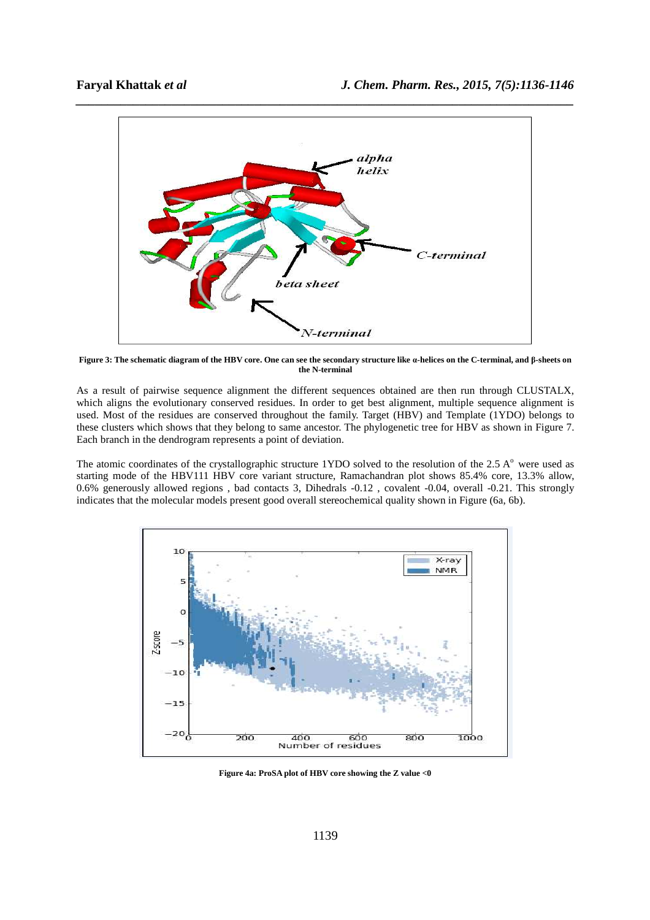

**Figure 3: The schematic diagram of the HBV core. One can see the secondary structure like α-helices on the C-terminal, and β-sheets on the N-terminal** 

As a result of pairwise sequence alignment the different sequences obtained are then run through CLUSTALX, which aligns the evolutionary conserved residues. In order to get best alignment, multiple sequence alignment is used. Most of the residues are conserved throughout the family. Target (HBV) and Template (1YDO) belongs to these clusters which shows that they belong to same ancestor. The phylogenetic tree for HBV as shown in Figure 7. Each branch in the dendrogram represents a point of deviation.

The atomic coordinates of the crystallographic structure 1YDO solved to the resolution of the 2.5  $A<sup>o</sup>$  were used as starting mode of the HBV111 HBV core variant structure, Ramachandran plot shows 85.4% core, 13.3% allow, 0.6% generously allowed regions , bad contacts 3, Dihedrals -0.12 , covalent -0.04, overall -0.21. This strongly indicates that the molecular models present good overall stereochemical quality shown in Figure (6a, 6b).



**Figure 4a: ProSA plot of HBV core showing the Z value <0**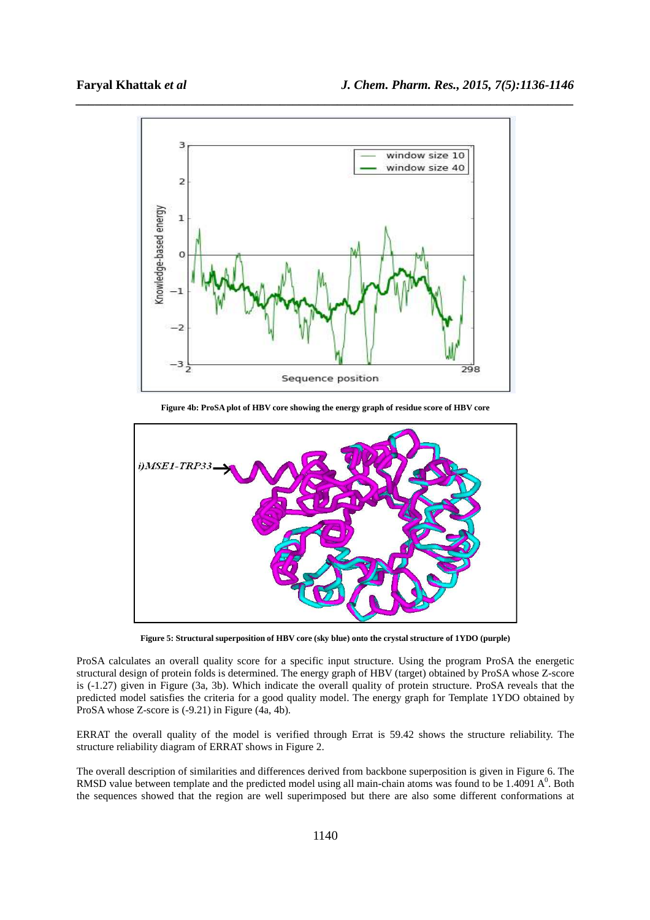

**Figure 4b: ProSA plot of HBV core showing the energy graph of residue score of HBV core** 



**Figure 5: Structural superposition of HBV core (sky blue) onto the crystal structure of 1YDO (purple)** 

ProSA calculates an overall quality score for a specific input structure. Using the program ProSA the energetic structural design of protein folds is determined. The energy graph of HBV (target) obtained by ProSA whose Z-score is (-1.27) given in Figure (3a, 3b). Which indicate the overall quality of protein structure. ProSA reveals that the predicted model satisfies the criteria for a good quality model. The energy graph for Template 1YDO obtained by ProSA whose Z-score is (-9.21) in Figure (4a, 4b).

ERRAT the overall quality of the model is verified through Errat is 59.42 shows the structure reliability. The structure reliability diagram of ERRAT shows in Figure 2.

The overall description of similarities and differences derived from backbone superposition is given in Figure 6. The RMSD value between template and the predicted model using all main-chain atoms was found to be 1.4091  $A^0$ . Both the sequences showed that the region are well superimposed but there are also some different conformations at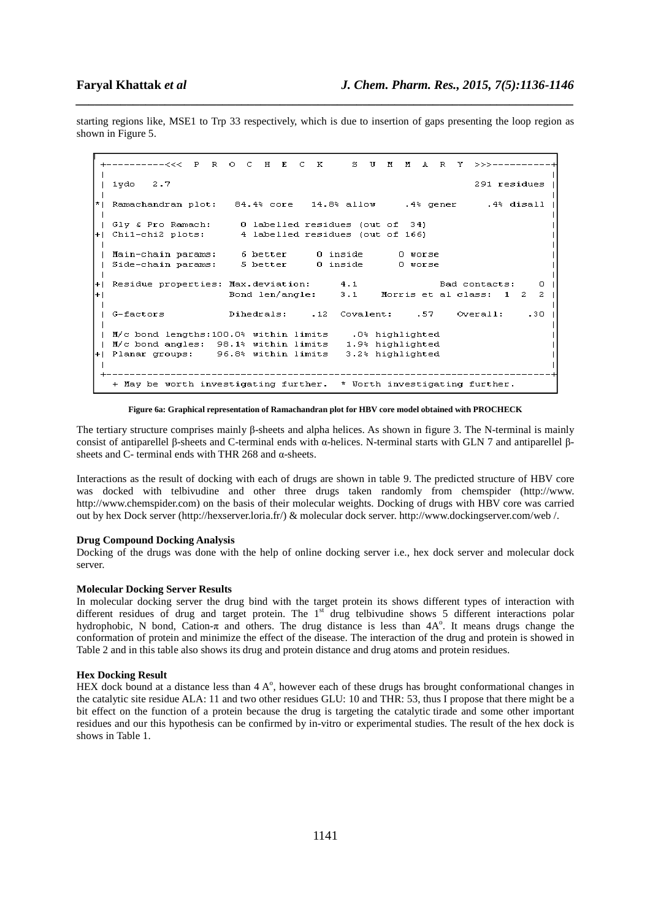starting regions like, MSE1 to Trp 33 respectively, which is due to insertion of gaps presenting the loop region as shown in Figure 5.

*\_\_\_\_\_\_\_\_\_\_\_\_\_\_\_\_\_\_\_\_\_\_\_\_\_\_\_\_\_\_\_\_\_\_\_\_\_\_\_\_\_\_\_\_\_\_\_\_\_\_\_\_\_\_\_\_\_\_\_\_\_\_\_\_\_\_\_\_\_\_\_\_\_\_\_\_\_\_*

```
---------///
                  \mathbf{p}\mathbf{R}\capC H E C K
                                                 \approx\mathbf{U}M M\mathbf{A}R\mathbf{v}1ydo
          2.7291 residues
                                                            .4% gener
  Ramachandran plot:
                          84.4% core
                                         14.8% allow
                                                                            .4% disall
  Glv & Pro Ramach:
                            0 labelled residues (out of
                                                           341- 1
  Chil-chi2 plots:
                            4 labelled residues (out of 166)
+1Main-chain params:
                            6 better
                                          0 inside
                                                           0 worse
\overline{1}Side-chain params:
                            5 better
                                          0 inside
                                                          0 worse
\blacksquareResidue properties: Max.deviation:
                                               4.1Bad contacts:
                                                                                      \BoxBond len/angle:
                                               3.1Morris et al class: 1
                                                                                   \overline{\mathbf{c}}\overline{a}+١
  G-factors
                         Dihedrals:
                                         .12Covalent:
                                                              .57
                                                                      Overall:.30M/c bond lengths: 100.0% within limits
                                                 .0% highlighted
- 1
  M/c bond angles: 98.1% within limits
                                                1.9% highlighted
- 1
+1Planar groups:
                       96.8% within limits
                                                3.2% highlighted
   + May be worth investigating further. * Worth investigating further.
```
**Figure 6a: Graphical representation of Ramachandran plot for HBV core model obtained with PROCHECK** 

The tertiary structure comprises mainly β-sheets and alpha helices. As shown in figure 3. The N-terminal is mainly consist of antiparellel β-sheets and C-terminal ends with α-helices. N-terminal starts with GLN 7 and antiparellel βsheets and C- terminal ends with THR 268 and α-sheets.

Interactions as the result of docking with each of drugs are shown in table 9. The predicted structure of HBV core was docked with telbivudine and other three drugs taken randomly from chemspider (http://www. http://www.chemspider.com) on the basis of their molecular weights. Docking of drugs with HBV core was carried out by hex Dock server (http://hexserver.loria.fr/) & molecular dock server. http://www.dockingserver.com/web /.

#### **Drug Compound Docking Analysis**

Docking of the drugs was done with the help of online docking server i.e., hex dock server and molecular dock server.

#### **Molecular Docking Server Results**

In molecular docking server the drug bind with the target protein its shows different types of interaction with different residues of drug and target protein. The 1<sup>st</sup> drug telbivudine shows 5 different interactions polar hydrophobic, N bond, Cation-π and others. The drug distance is less than 4A°. It means drugs change the conformation of protein and minimize the effect of the disease. The interaction of the drug and protein is showed in Table 2 and in this table also shows its drug and protein distance and drug atoms and protein residues.

#### **Hex Docking Result**

HEX dock bound at a distance less than  $4 A<sup>o</sup>$ , however each of these drugs has brought conformational changes in the catalytic site residue ALA: 11 and two other residues GLU: 10 and THR: 53, thus I propose that there might be a bit effect on the function of a protein because the drug is targeting the catalytic tirade and some other important residues and our this hypothesis can be confirmed by in-vitro or experimental studies. The result of the hex dock is shows in Table 1.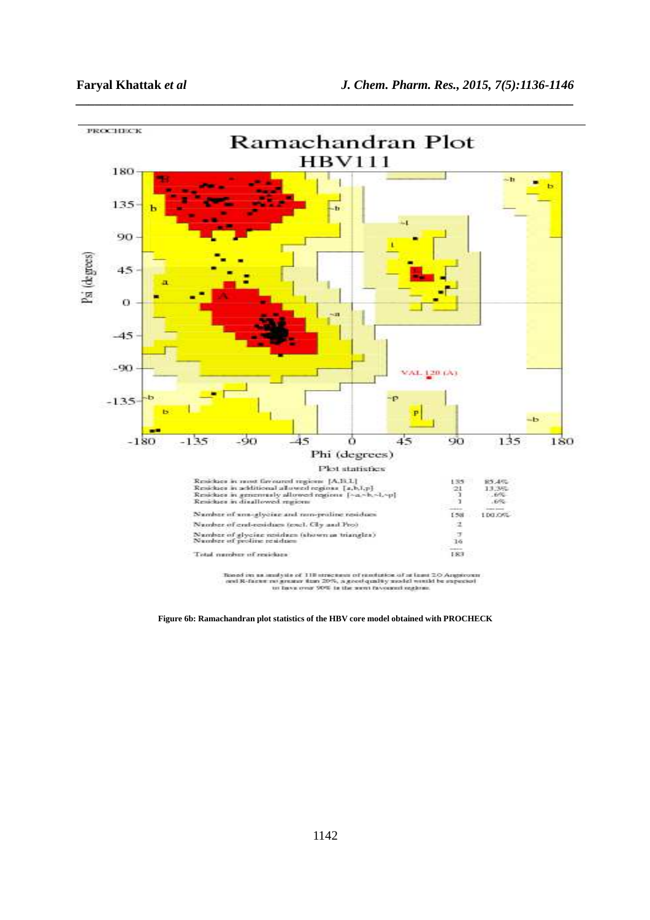

*\_\_\_\_\_\_\_\_\_\_\_\_\_\_\_\_\_\_\_\_\_\_\_\_\_\_\_\_\_\_\_\_\_\_\_\_\_\_\_\_\_\_\_\_\_\_\_\_\_\_\_\_\_\_\_\_\_\_\_\_\_\_\_\_\_\_\_\_\_\_\_\_\_\_\_\_\_\_*

**Figure 6b: Ramachandran plot statistics of the HBV core model obtained with PROCHECK**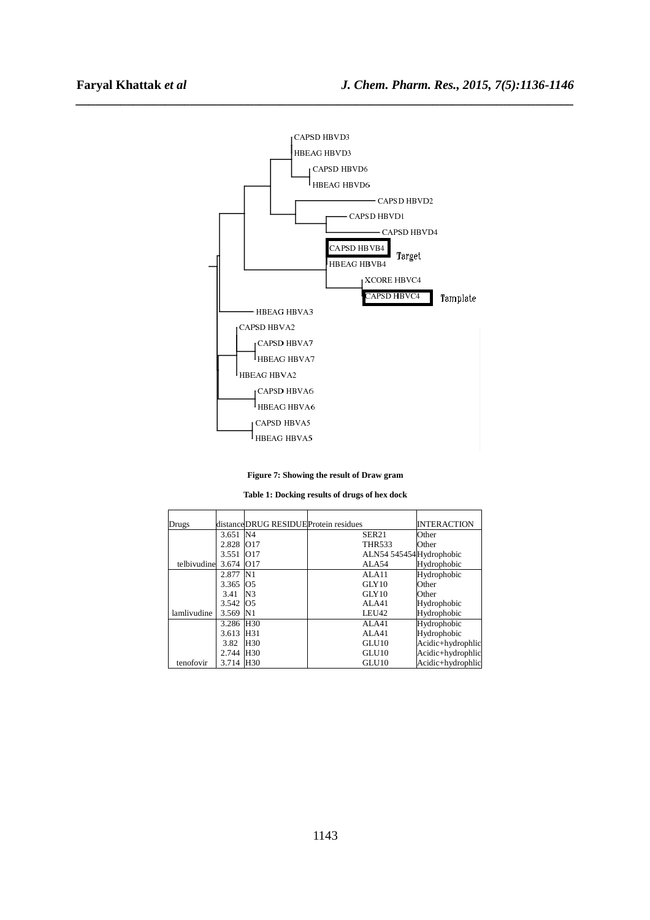

*\_\_\_\_\_\_\_\_\_\_\_\_\_\_\_\_\_\_\_\_\_\_\_\_\_\_\_\_\_\_\_\_\_\_\_\_\_\_\_\_\_\_\_\_\_\_\_\_\_\_\_\_\_\_\_\_\_\_\_\_\_\_\_\_\_\_\_\_\_\_\_\_\_\_\_\_\_\_*

## **Figure 7: Showing the result of Draw gram**

**Table 1: Docking results of drugs of hex dock** 

| Drugs       |           | distanceDRUG RESIDUEProtein residues |                         | <b>INTERACTION</b> |
|-------------|-----------|--------------------------------------|-------------------------|--------------------|
|             | 3.651 N4  |                                      | SER <sub>21</sub>       | Other              |
|             | 2.828     | O17                                  | THR533                  | Other              |
|             | 3.551     | 017                                  | ALN54 545454Hydrophobic |                    |
| telbivudine | 3.674     | O <sub>17</sub>                      | ALA54                   | Hydrophobic        |
|             | 2.877     | N1                                   | ALA11                   | Hydrophobic        |
|             | 3.365     | O <sub>5</sub>                       | GLY10                   | Other              |
|             | 3.41      | N <sub>3</sub>                       | GLY10                   | Other              |
|             | 3.542     | <b>O5</b>                            | ALA41                   | Hydrophobic        |
| lamlivudine | 3.569     | N <sub>1</sub>                       | LEU42                   | Hydrophobic        |
|             | 3.286 H30 |                                      | AI.A41                  | Hydrophobic        |
|             | 3.613     | H <sub>31</sub>                      | AI.A41                  | Hydrophobic        |
|             | 3.82      | H <sub>30</sub>                      | GLU <sub>10</sub>       | Acidic+hydrophlic  |
|             | 2.744     | H <sub>30</sub>                      | GLU <sub>10</sub>       | Acidic+hydrophlic  |
| tenofovir   | 3.714 H30 |                                      | GLU <sub>10</sub>       | Acidic+hydrophlic  |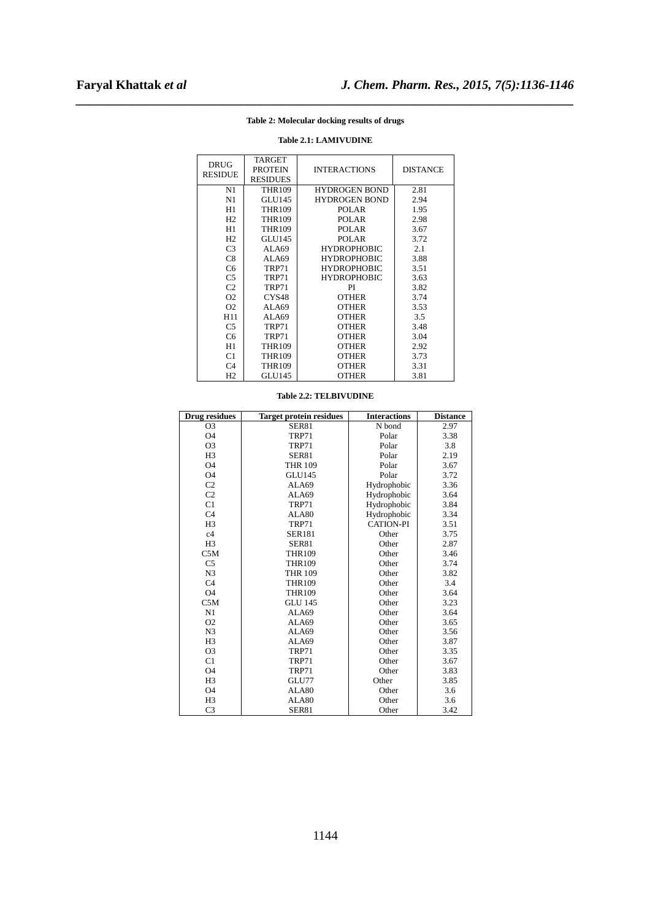# *\_\_\_\_\_\_\_\_\_\_\_\_\_\_\_\_\_\_\_\_\_\_\_\_\_\_\_\_\_\_\_\_\_\_\_\_\_\_\_\_\_\_\_\_\_\_\_\_\_\_\_\_\_\_\_\_\_\_\_\_\_\_\_\_\_\_\_\_\_\_\_\_\_\_\_\_\_\_* **Table 2: Molecular docking results of drugs**

| <b>DRUG</b>    | <b>TARGET</b>     |                      |                 |
|----------------|-------------------|----------------------|-----------------|
| <b>RESIDUE</b> | <b>PROTEIN</b>    | <b>INTERACTIONS</b>  | <b>DISTANCE</b> |
|                | <b>RESIDUES</b>   |                      |                 |
| N1             | <b>THR109</b>     | <b>HYDROGEN BOND</b> | 2.81            |
| N1             | <b>GLU145</b>     | <b>HYDROGEN BOND</b> | 2.94            |
| H1             | <b>THR109</b>     | <b>POLAR</b>         | 1.95            |
| H <sub>2</sub> | <b>THR109</b>     | POLAR                | 2.98            |
| H1             | <b>THR109</b>     | POLAR                | 3.67            |
| H <sub>2</sub> | <b>GLU145</b>     | <b>POLAR</b>         | 3.72            |
| C <sub>3</sub> | ALA69             | <b>HYDROPHOBIC</b>   | 2.1             |
| C8             | ALA69             | <b>HYDROPHOBIC</b>   | 3.88            |
| C <sub>6</sub> | <b>TRP71</b>      | <b>HYDROPHOBIC</b>   | 3.51            |
| C <sub>5</sub> | TRP71             | <b>HYDROPHOBIC</b>   | 3.63            |
| C <sub>2</sub> | <b>TRP71</b>      | PI                   | 3.82            |
| O <sub>2</sub> | CYS <sub>48</sub> | <b>OTHER</b>         | 3.74            |
| O <sub>2</sub> | ALA69             | <b>OTHER</b>         | 3.53            |
| H11            | ALA69             | <b>OTHER</b>         | 3.5             |
| C <sub>5</sub> | TRP71             | <b>OTHER</b>         | 3.48            |
| C6             | <b>TRP71</b>      | <b>OTHER</b>         | 3.04            |
| H1             | <b>THR109</b>     | <b>OTHER</b>         | 2.92            |
| C1             | <b>THR109</b>     | <b>OTHER</b>         | 3.73            |
| C <sub>4</sub> | <b>THR109</b>     | <b>OTHER</b>         | 3.31            |
| H <sub>2</sub> | <b>GLU145</b>     | <b>OTHER</b>         | 3.81            |

# **Table 2.1: LAMIVUDINE**

| <b>Drug residues</b> | <b>Target protein residues</b> | <b>Interactions</b> | <b>Distance</b> |
|----------------------|--------------------------------|---------------------|-----------------|
| O <sub>3</sub>       | <b>SER81</b>                   | N bond              | 2.97            |
| O4                   | TRP71                          | Polar               | 3.38            |
| O <sub>3</sub>       | TRP71                          | Polar               | 3.8             |
| H <sub>3</sub>       | <b>SER81</b>                   | Polar               | 2.19            |
| <b>O4</b>            | <b>THR 109</b>                 | Polar               | 3.67            |
| <b>O4</b>            | <b>GLU145</b>                  | Polar               | 3.72            |
| C <sub>2</sub>       | ALA69                          | Hydrophobic         | 3.36            |
| C2                   | ALA69                          | Hydrophobic         | 3.64            |
| C1                   | TRP71                          | Hydrophobic         | 3.84            |
| C <sub>4</sub>       | ALA80                          | Hydrophobic         | 3.34            |
| H <sub>3</sub>       | TRP71                          | <b>CATION-PI</b>    | 3.51            |
| c4                   | <b>SER181</b>                  | Other               | 3.75            |
| H <sub>3</sub>       | <b>SER81</b>                   | Other               | 2.87            |
| C5M                  | <b>THR109</b>                  | Other               | 3.46            |
| C <sub>5</sub>       | <b>THR109</b>                  | Other               | 3.74            |
| N <sub>3</sub>       | <b>THR 109</b>                 | Other               | 3.82            |
| C <sub>4</sub>       | <b>THR109</b>                  | Other               | 3.4             |
| <b>O4</b>            | <b>THR109</b>                  | Other               | 3.64            |
| C5M                  | <b>GLU 145</b>                 | Other               | 3.23            |
| N1                   | ALA69                          | Other               | 3.64            |
| O <sub>2</sub>       | ALA69                          | Other               | 3.65            |
| N <sub>3</sub>       | ALA69                          | Other               | 3.56            |
| H <sub>3</sub>       | ALA69                          | Other               | 3.87            |
| O <sub>3</sub>       | TRP71                          | Other               | 3.35            |
| C1                   | TRP71                          | Other               | 3.67            |
| <b>O4</b>            | TRP71                          | Other               | 3.83            |
| H <sub>3</sub>       | GLU77                          | Other               | 3.85            |
| <b>O4</b>            | ALA80                          | Other               | 3.6             |
| H <sub>3</sub>       | ALA80                          | Other               | 3.6             |
| C <sub>3</sub>       | <b>SER81</b>                   | Other               | 3.42            |

### **Table 2.2: TELBIVUDINE**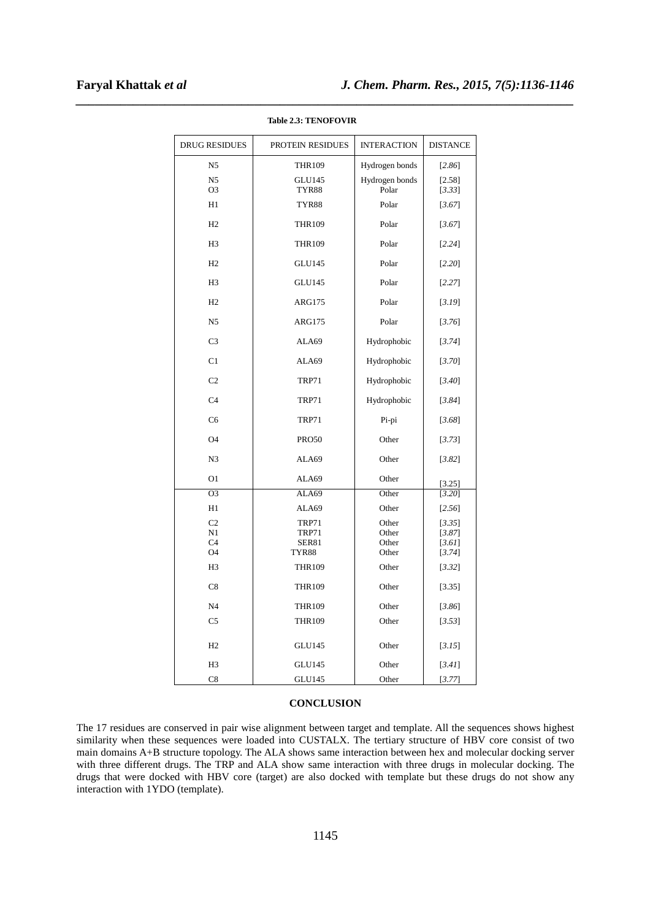| <b>DRUG RESIDUES</b>             | PROTEIN RESIDUES       | <b>INTERACTION</b>      | <b>DISTANCE</b>  |
|----------------------------------|------------------------|-------------------------|------------------|
| N <sub>5</sub>                   | <b>THR109</b>          | Hydrogen bonds          | $[2.86]$         |
| N <sub>5</sub><br>O <sub>3</sub> | <b>GLU145</b><br>TYR88 | Hydrogen bonds<br>Polar | [2.58]<br>[3.33] |
| H1                               | TYR88                  | Polar                   | [3.67]           |
| H2                               | <b>THR109</b>          | Polar                   | [3.67]           |
| H <sub>3</sub>                   | <b>THR109</b>          | Polar                   | [2.24]           |
| H2                               | <b>GLU145</b>          | Polar                   | $[2.20]$         |
| H <sub>3</sub>                   | <b>GLU145</b>          | Polar                   | [2.27]           |
| H2                               | <b>ARG175</b>          | Polar                   | [3.19]           |
| N <sub>5</sub>                   | <b>ARG175</b>          | Polar                   | [3.76]           |
| C <sub>3</sub>                   | ALA69                  | Hydrophobic             | [3.74]           |
| C <sub>1</sub>                   | ALA69                  | Hydrophobic             | $[3.70]$         |
| C <sub>2</sub>                   | <b>TRP71</b>           | Hydrophobic             | [3.40]           |
| C <sub>4</sub>                   | <b>TRP71</b>           | Hydrophobic             | [3.84]           |
| C <sub>6</sub>                   | <b>TRP71</b>           | Pi-pi                   | [3.68]           |
| O4                               | <b>PRO50</b>           | Other                   | [3.73]           |
| N <sub>3</sub>                   | ALA69                  | Other                   | $[3.82]$         |
| O <sub>1</sub>                   | ALA69                  | Other                   | [3.25]           |
| O <sub>3</sub>                   | ALA69                  | Other                   | [3.20]           |
| H1                               | ALA69                  | Other                   | [2.56]           |
| C <sub>2</sub>                   | <b>TRP71</b>           | Other                   | [3.35]           |
| N1                               | <b>TRP71</b>           | Other                   | [3.87]           |
| C <sub>4</sub>                   | <b>SER81</b>           | Other                   | $[3.61]$         |
| O4                               | TYR88                  | Other                   | [3.74]           |
| H <sub>3</sub>                   | <b>THR109</b>          | Other                   | $[3.32]$         |
| C8                               | <b>THR109</b>          | Other                   | [3.35]           |
| N <sub>4</sub>                   | <b>THR109</b>          | Other                   | [3.86]           |
| C5                               | <b>THR109</b>          | Other                   | [3.53]           |
| H2                               | <b>GLU145</b>          | Other                   | [3.15]           |
| H <sub>3</sub>                   | <b>GLU145</b>          | Other                   | $[3.41]$         |
| C8                               | <b>GLU145</b>          | Other                   | [3.77]           |

**Table 2.3: TENOFOVIR** 

*\_\_\_\_\_\_\_\_\_\_\_\_\_\_\_\_\_\_\_\_\_\_\_\_\_\_\_\_\_\_\_\_\_\_\_\_\_\_\_\_\_\_\_\_\_\_\_\_\_\_\_\_\_\_\_\_\_\_\_\_\_\_\_\_\_\_\_\_\_\_\_\_\_\_\_\_\_\_*

# **CONCLUSION**

The 17 residues are conserved in pair wise alignment between target and template. All the sequences shows highest similarity when these sequences were loaded into CUSTALX. The tertiary structure of HBV core consist of two main domains A+B structure topology. The ALA shows same interaction between hex and molecular docking server with three different drugs. The TRP and ALA show same interaction with three drugs in molecular docking. The drugs that were docked with HBV core (target) are also docked with template but these drugs do not show any interaction with 1YDO (template).